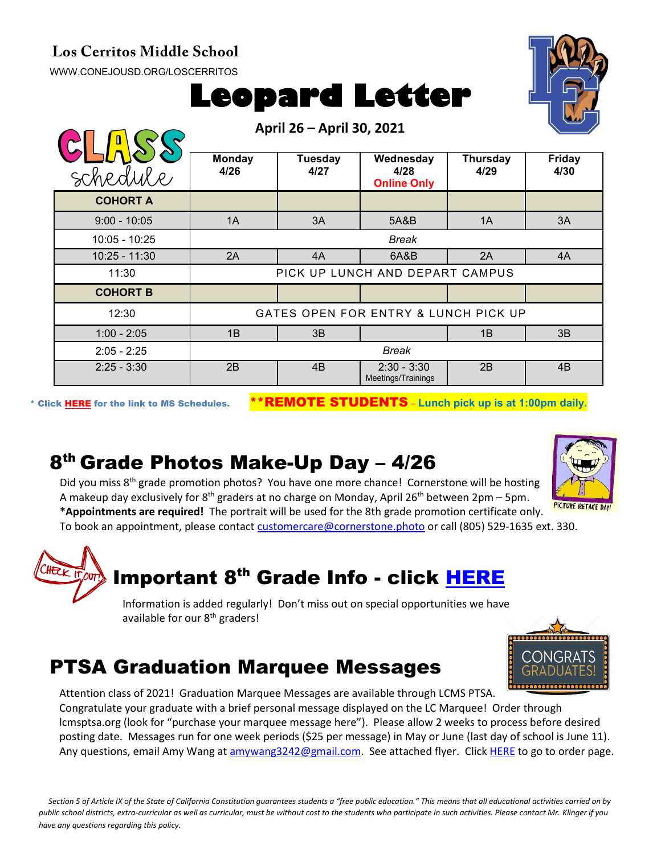#### **Los Cerritos Middle School**

[WWW.CONEJOUSD.ORG/LOSCERRITOS](http://www.conejousd.org/LOSCERRITOS)



**April 26 – April 30, 2021**



|                 | $F1$ $F2$ $F3$ $F4$ $F5$ $F6$ $F7$ $F8$ $F1$ $F1$ $F2$ |                 |                                         |                  |                       |
|-----------------|--------------------------------------------------------|-----------------|-----------------------------------------|------------------|-----------------------|
| schedule        | <b>Monday</b><br>4/26                                  | Tuesday<br>4/27 | Wednesday<br>4/28<br><b>Online Only</b> | Thursday<br>4/29 | <b>Friday</b><br>4/30 |
| <b>COHORT A</b> |                                                        |                 |                                         |                  |                       |
| $9:00 - 10:05$  | 1A                                                     | 3A              | 5A&B                                    | 1A               | 3A                    |
| $10:05 - 10:25$ | <b>Break</b>                                           |                 |                                         |                  |                       |
| $10:25 - 11:30$ | 2A                                                     | 4A              | 6A&B                                    | 2A               | 4A                    |
| 11:30           | PICK UP LUNCH AND DEPART CAMPUS                        |                 |                                         |                  |                       |
| <b>COHORT B</b> |                                                        |                 |                                         |                  |                       |
| 12:30           | GATES OPEN FOR ENTRY & LUNCH PICK UP                   |                 |                                         |                  |                       |
| $1:00 - 2:05$   | 1B                                                     | 3B              |                                         | 1B               | 3B                    |
| $2:05 - 2:25$   | <b>Break</b>                                           |                 |                                         |                  |                       |
| $2:25 - 3:30$   | 2B                                                     | 4B              | $2:30 - 3:30$<br>Meetings/Trainings     | 2B               | 4B                    |

\* Click [HERE](https://www.conejousd.org/Portals/0/Middle%20School%20Monthly%20Calendar%20_FNLl.pdf?ver=2020-11-04-105638-860) for the link to MS Schedules. \*\*REMOTE STUDENTS – **Lunch pick up is at 1:00pm daily.**

#### 8th Grade Photos Make-Up Day – 4/26



Did you miss 8<sup>th</sup> grade promotion photos? You have one more chance! Cornerstone will be hosting A makeup day exclusively for  $8<sup>th</sup>$  graders at no charge on Monday, April 26<sup>th</sup> between 2pm – 5pm. **\*Appointments are required!** The portrait will be used for the 8th grade promotion certificate only.

To book an appointment, please contact [customercare@cornerstone.photo](mailto:customercare@cornerstone.photo) or call (805) 529-1635 ext. 330.

# Important 8<sup>th</sup> Grade Info - click [HERE](https://docs.google.com/document/d/1KwvAb5A6N3XOrohf4P_tUC-4_U_ICxfPB9oJK0wCns4/edit?usp=sharing) Information is added regularly! Don't miss out on special opportunities we have

available for our 8<sup>th</sup> graders!

#### PTSA Graduation Marquee Messages

Attention class of 2021! Graduation Marquee Messages are available through LCMS PTSA. Congratulate your graduate with a brief personal message displayed on the LC Marquee! Order through lcmsptsa.org (look for "purchase your marquee message here"). Please allow 2 weeks to process before desired posting date. Messages run for one week periods (\$25 per message) in May or June (last day of school is June 11). Any questions, email Amy Wang at [amywang3242@gmail.com.](mailto:amywang3242@gmail.com) See attached flyer. Clic[k HERE](https://docs.google.com/forms/d/e/1FAIpQLSfMBEWp0DQPI3eHSEAkaCMCEvmk9zji_q6BTd0c53DErOyTSQ/viewform) to go to order page.

*Section 5 of Article IX of the State of California Constitution guarantees students a "free public education." This means that all educational activities carried on by public school districts, extra-curricular as well as curricular, must be without cost to the students who participate in such activities. Please contact Mr. Klinger if you have any questions regarding this policy.*